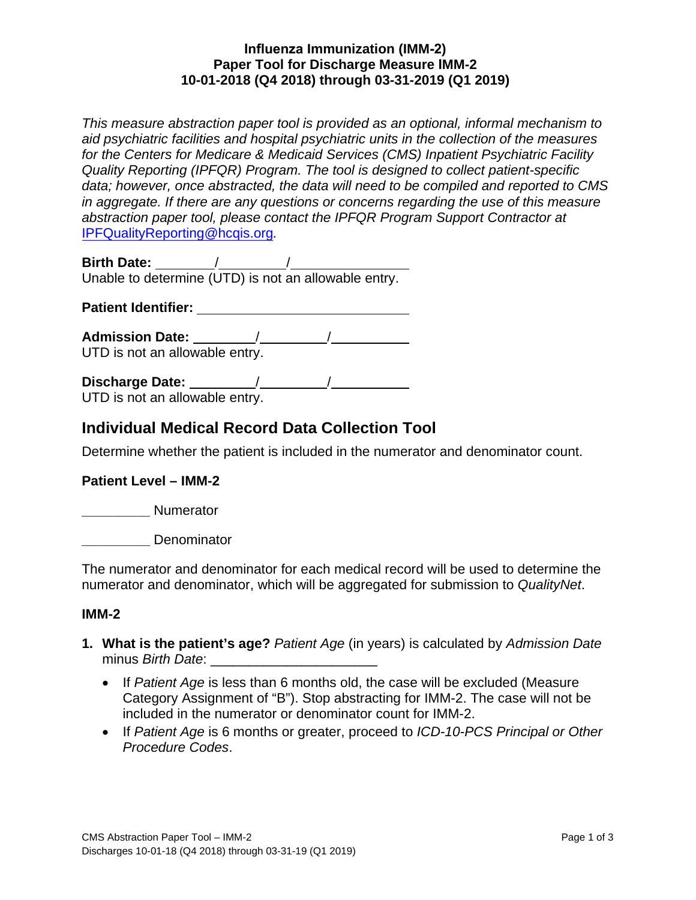# **Influenza Immunization (IMM-2) Paper Tool for Discharge Measure IMM-2 10-01-2018 (Q4 2018) through 03-31-2019 (Q1 2019)**

*This measure abstraction paper tool is provided as an optional, informal mechanism to aid psychiatric facilities and hospital psychiatric units in the collection of the measures for the Centers for Medicare & Medicaid Services (CMS) Inpatient Psychiatric Facility Quality Reporting (IPFQR) Program. The tool is designed to collect patient-specific data; however, once abstracted, the data will need to be compiled and reported to CMS in aggregate. If there are any questions or concerns regarding the use of this measure abstraction paper tool, please contact the IPFQR Program Support Contractor at*  [IPFQualityReporting@hcqis.org](mailto:IPFQualityReporting@hcqis.org)*.*

**Birth Date:** / / Unable to determine (UTD) is not an allowable entry.

**Patient Identifier:** 

**Admission Date:** / / UTD is not an allowable entry.

**Discharge Date:** / /

UTD is not an allowable entry.

# **Individual Medical Record Data Collection Tool**

Determine whether the patient is included in the numerator and denominator count.

# **Patient Level – IMM-2**

**\_\_\_\_\_\_\_\_\_** Numerator

**\_\_\_\_\_\_\_\_\_** Denominator

The numerator and denominator for each medical record will be used to determine the numerator and denominator, which will be aggregated for submission to *QualityNet*.

# **IMM-2**

- **1. What is the patient's age?** *Patient Age* (in years) is calculated by *Admission Date* minus *Birth Date*:
	- If *Patient Age* is less than 6 months old, the case will be excluded (Measure Category Assignment of "B"). Stop abstracting for IMM-2. The case will not be included in the numerator or denominator count for IMM-2.
	- If *Patient Age* is 6 months or greater, proceed to *ICD-10-PCS Principal or Other Procedure Codes*.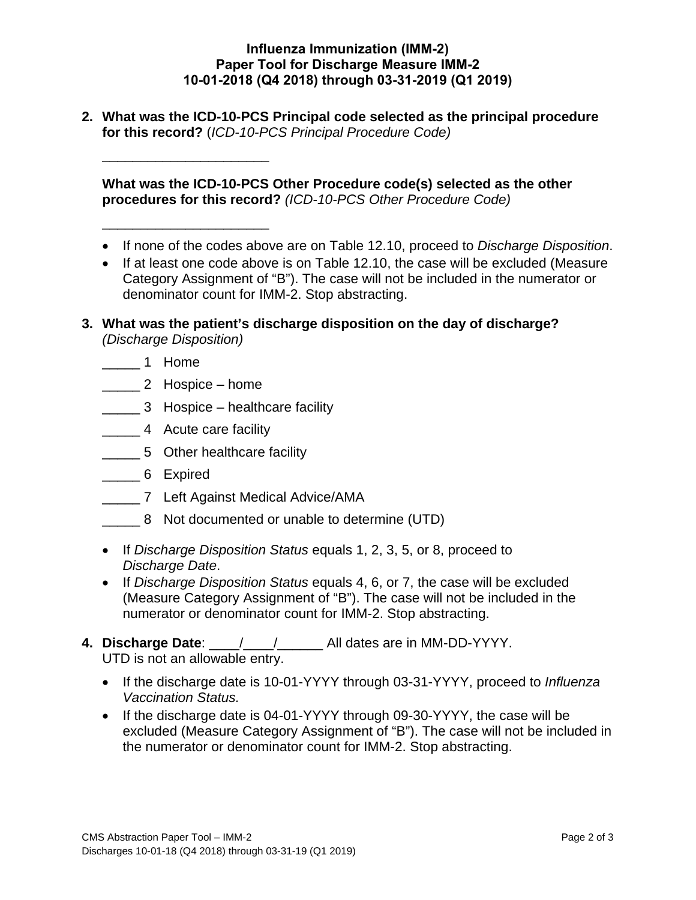## **Influenza Immunization (IMM-2) Paper Tool for Discharge Measure IMM-2 10-01-2018 (Q4 2018) through 03-31-2019 (Q1 2019)**

**2. What was the ICD-10-PCS Principal code selected as the principal procedure for this record?** (*ICD-10-PCS Principal Procedure Code)*

**What was the ICD-10-PCS Other Procedure code(s) selected as the other procedures for this record?** *(ICD-10-PCS Other Procedure Code)*

- If none of the codes above are on Table 12.10, proceed to *Discharge Disposition*.
- If at least one code above is on Table 12.10, the case will be excluded (Measure Category Assignment of "B"). The case will not be included in the numerator or denominator count for IMM-2. Stop abstracting.
- **3. What was the patient's discharge disposition on the day of discharge?** *(Discharge Disposition)*
	- \_\_\_ \_\_ 1 Home
	- \_\_\_ \_\_ 2 Hospice home

\_\_\_\_\_\_\_\_\_\_\_\_\_\_\_\_\_\_\_\_\_\_

\_\_\_\_\_\_\_\_\_\_\_\_\_\_\_\_\_\_\_\_\_\_

- \_\_\_ \_\_ 3 Hospice healthcare facility
- \_\_\_ \_\_ 4 Acute care facility
- \_\_\_ \_\_ 5 Other healthcare facility
- \_\_\_ \_\_ 6 Expired
- \_\_\_ \_\_ 7 Left Against Medical Advice/AMA
- \_\_\_ \_\_ 8 Not documented or unable to determine (UTD)
- If *Discharge Disposition Status* equals 1, 2, 3, 5, or 8, proceed to *Discharge Date*.
- If *Discharge Disposition Status* equals 4, 6, or 7, the case will be excluded (Measure Category Assignment of "B"). The case will not be included in the numerator or denominator count for IMM-2. Stop abstracting.
- **4. Discharge Date**: \_\_\_\_/\_\_\_\_/\_\_\_\_\_\_ All dates are in MM-DD-YYYY. UTD is not an allowable entry.
	- If the discharge date is 10-01-YYYY through 03-31-YYYY, proceed to *Influenza Vaccination Status.*
	- If the discharge date is 04-01-YYYY through 09-30-YYYY, the case will be excluded (Measure Category Assignment of "B"). The case will not be included in the numerator or denominator count for IMM-2. Stop abstracting.